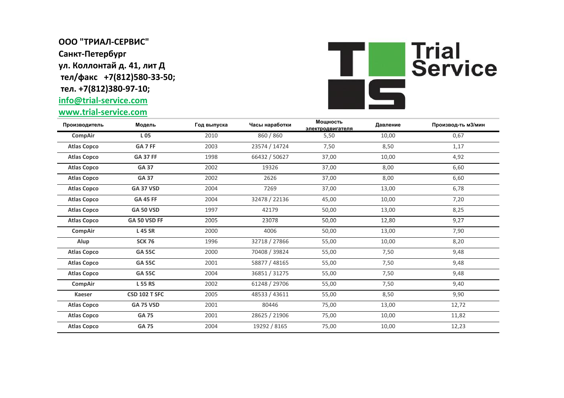## **ООО "ТРИАЛ-СЕРВИС" Санкт-Петербург ул. Коллонтай д. 41, лит Д тел/факс +7(812)580-33-50; тел. +7(812)380-97-10;**

## **info@trial-service.com**

**www.trial-service.com**



| Производитель      | Модель           | Год выпуска | Часы наработки | Мощность<br>электродвигателя | Давление | Производ-ть м3/мин |
|--------------------|------------------|-------------|----------------|------------------------------|----------|--------------------|
| CompAir            | L 05             | 2010        | 860 / 860      | 5,50                         | 10,00    | 0,67               |
| <b>Atlas Copco</b> | GA 7 FF          | 2003        | 23574 / 14724  | 7,50                         | 8,50     | 1,17               |
| <b>Atlas Copco</b> | <b>GA 37 FF</b>  | 1998        | 66432 / 50627  | 37,00                        | 10,00    | 4,92               |
| <b>Atlas Copco</b> | <b>GA 37</b>     | 2002        | 19326          | 37,00                        | 8,00     | 6,60               |
| <b>Atlas Copco</b> | <b>GA 37</b>     | 2002        | 2626           | 37,00                        | 8,00     | 6,60               |
| <b>Atlas Copco</b> | <b>GA 37 VSD</b> | 2004        | 7269           | 37,00                        | 13,00    | 6,78               |
| <b>Atlas Copco</b> | <b>GA 45 FF</b>  | 2004        | 32478 / 22136  | 45,00                        | 10,00    | 7,20               |
| <b>Atlas Copco</b> | <b>GA 50 VSD</b> | 1997        | 42179          | 50,00                        | 13,00    | 8,25               |
| <b>Atlas Copco</b> | GA 50 VSD FF     | 2005        | 23078          | 50,00                        | 12,80    | 9,27               |
| CompAir            | <b>L45 SR</b>    | 2000        | 4006           | 50,00                        | 13,00    | 7,90               |
| Alup               | <b>SCK 76</b>    | 1996        | 32718 / 27866  | 55,00                        | 10,00    | 8,20               |
| <b>Atlas Copco</b> | <b>GA 55C</b>    | 2000        | 70408 / 39824  | 55,00                        | 7,50     | 9,48               |
| <b>Atlas Copco</b> | <b>GA 55C</b>    | 2001        | 58877 / 48165  | 55,00                        | 7,50     | 9,48               |
| <b>Atlas Copco</b> | <b>GA 55C</b>    | 2004        | 36851 / 31275  | 55,00                        | 7,50     | 9,48               |
| CompAir            | <b>L55 RS</b>    | 2002        | 61248 / 29706  | 55,00                        | 7,50     | 9,40               |
| Kaeser             | CSD 102 T SFC    | 2005        | 48533 / 43611  | 55,00                        | 8,50     | 9,90               |
| <b>Atlas Copco</b> | <b>GA 75 VSD</b> | 2001        | 80446          | 75,00                        | 13,00    | 12,72              |
| <b>Atlas Copco</b> | <b>GA 75</b>     | 2001        | 28625 / 21906  | 75,00                        | 10,00    | 11,82              |
| <b>Atlas Copco</b> | <b>GA 75</b>     | 2004        | 19292 / 8165   | 75,00                        | 10,00    | 12,23              |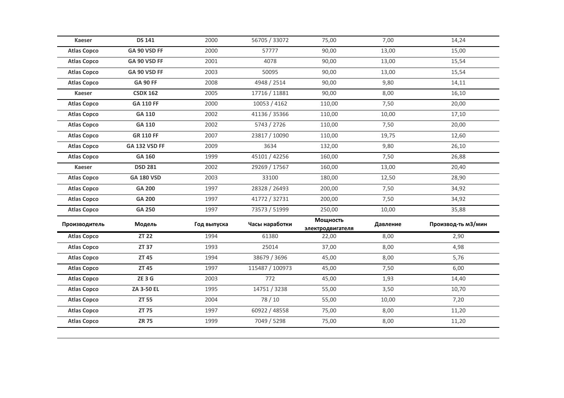| <b>Kaeser</b>      | <b>DS 141</b>     | 2000        | 56705 / 33072   | 75,00                        | 7,00     | 14,24              |
|--------------------|-------------------|-------------|-----------------|------------------------------|----------|--------------------|
| <b>Atlas Copco</b> | GA 90 VSD FF      | 2000        | 57777           | 90,00                        | 13,00    | 15,00              |
| <b>Atlas Copco</b> | GA 90 VSD FF      | 2001        | 4078            | 90,00                        | 13,00    | 15,54              |
| <b>Atlas Copco</b> | GA 90 VSD FF      | 2003        | 50095           | 90,00                        | 13,00    | 15,54              |
| <b>Atlas Copco</b> | <b>GA 90 FF</b>   | 2008        | 4948 / 2514     | 90,00                        | 9,80     | 14,11              |
| <b>Kaeser</b>      | <b>CSDX 162</b>   | 2005        | 17716 / 11881   | 90,00                        | 8,00     | 16,10              |
| <b>Atlas Copco</b> | <b>GA 110 FF</b>  | 2000        | 10053 / 4162    | 110,00                       | 7,50     | 20,00              |
| <b>Atlas Copco</b> | GA 110            | 2002        | 41136 / 35366   | 110,00                       | 10,00    | 17,10              |
| <b>Atlas Copco</b> | GA 110            | 2002        | 5743 / 2726     | 110,00                       | 7,50     | 20,00              |
| <b>Atlas Copco</b> | <b>GR 110 FF</b>  | 2007        | 23817 / 10090   | 110,00                       | 19,75    | 12,60              |
| <b>Atlas Copco</b> | GA 132 VSD FF     | 2009        | 3634            | 132,00                       | 9,80     | 26,10              |
| <b>Atlas Copco</b> | GA 160            | 1999        | 45101 / 42256   | 160,00                       | 7,50     | 26,88              |
| <b>Kaeser</b>      | <b>DSD 281</b>    | 2002        | 29269 / 17567   | 160,00                       | 13,00    | 20,40              |
| <b>Atlas Copco</b> | <b>GA 180 VSD</b> | 2003        | 33100           | 180,00                       | 12,50    | 28,90              |
| <b>Atlas Copco</b> | <b>GA 200</b>     | 1997        | 28328 / 26493   | 200,00                       | 7,50     | 34,92              |
| <b>Atlas Copco</b> | <b>GA 200</b>     | 1997        | 41772 / 32731   | 200,00                       | 7,50     | 34,92              |
| <b>Atlas Copco</b> | GA 250            | 1997        | 73573 / 51999   | 250,00                       | 10,00    | 35,88              |
| Производитель      | Модель            | Год выпуска | Часы наработки  | Мощность<br>электродвигателя | Давление | Производ-ть м3/мин |
| <b>Atlas Copco</b> | <b>ZT 22</b>      | 1994        | 61380           | 22,00                        | 8,00     | 2,90               |
| <b>Atlas Copco</b> | ZT 37             | 1993        | 25014           | 37,00                        | 8,00     | 4,98               |
| <b>Atlas Copco</b> | ZT 45             | 1994        | 38679 / 3696    | 45,00                        | 8,00     | 5,76               |
| <b>Atlas Copco</b> | <b>ZT 45</b>      | 1997        | 115487 / 100973 | 45,00                        | 7,50     | 6,00               |
| <b>Atlas Copco</b> | ZE3G              | 2003        | 772             | 45,00                        | 1,93     | 14,40              |
| <b>Atlas Copco</b> | ZA 3-50 EL        | 1995        | 14751 / 3238    | 55,00                        | 3,50     | 10,70              |
| <b>Atlas Copco</b> | <b>ZT 55</b>      | 2004        | 78/10           | 55,00                        | 10,00    | 7,20               |
|                    |                   |             |                 |                              |          |                    |
| <b>Atlas Copco</b> | <b>ZT 75</b>      | 1997        | 60922 / 48558   | 75,00                        | 8,00     | 11,20              |